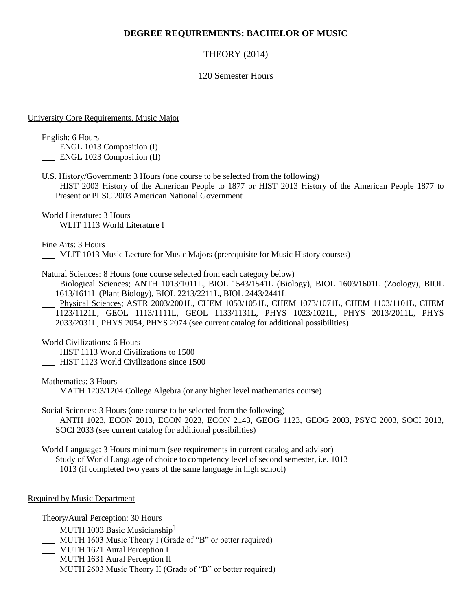## **DEGREE REQUIREMENTS: BACHELOR OF MUSIC**

# THEORY (2014)

## 120 Semester Hours

#### University Core Requirements, Music Major

English: 6 Hours

- **ENGL 1013 Composition (I)**
- **ENGL 1023 Composition (II)**
- U.S. History/Government: 3 Hours (one course to be selected from the following)

 HIST 2003 History of the American People to 1877 or HIST 2013 History of the American People 1877 to Present or PLSC 2003 American National Government

World Literature: 3 Hours WLIT 1113 World Literature I

Fine Arts: 3 Hours MLIT 1013 Music Lecture for Music Majors (prerequisite for Music History courses)

Natural Sciences: 8 Hours (one course selected from each category below)

 Biological Sciences; ANTH 1013/1011L, BIOL 1543/1541L (Biology), BIOL 1603/1601L (Zoology), BIOL 1613/1611L (Plant Biology), BIOL 2213/2211L, BIOL 2443/2441L

 Physical Sciences; ASTR 2003/2001L, CHEM 1053/1051L, CHEM 1073/1071L, CHEM 1103/1101L, CHEM 1123/1121L, GEOL 1113/1111L, GEOL 1133/1131L, PHYS 1023/1021L, PHYS 2013/2011L, PHYS 2033/2031L, PHYS 2054, PHYS 2074 (see current catalog for additional possibilities)

World Civilizations: 6 Hours

- HIST 1113 World Civilizations to 1500
- **HIST 1123 World Civilizations since 1500**

Mathematics: 3 Hours

MATH 1203/1204 College Algebra (or any higher level mathematics course)

Social Sciences: 3 Hours (one course to be selected from the following)

 ANTH 1023, ECON 2013, ECON 2023, ECON 2143, GEOG 1123, GEOG 2003, PSYC 2003, SOCI 2013, SOCI 2033 (see current catalog for additional possibilities)

World Language: 3 Hours minimum (see requirements in current catalog and advisor)

Study of World Language of choice to competency level of second semester, i.e. 1013

1013 (if completed two years of the same language in high school)

Required by Music Department

Theory/Aural Perception: 30 Hours

- MUTH 1003 Basic Musicianship<sup>1</sup>
- MUTH 1603 Music Theory I (Grade of "B" or better required)
- MUTH 1621 Aural Perception I
- MUTH 1631 Aural Perception II
- MUTH 2603 Music Theory II (Grade of "B" or better required)